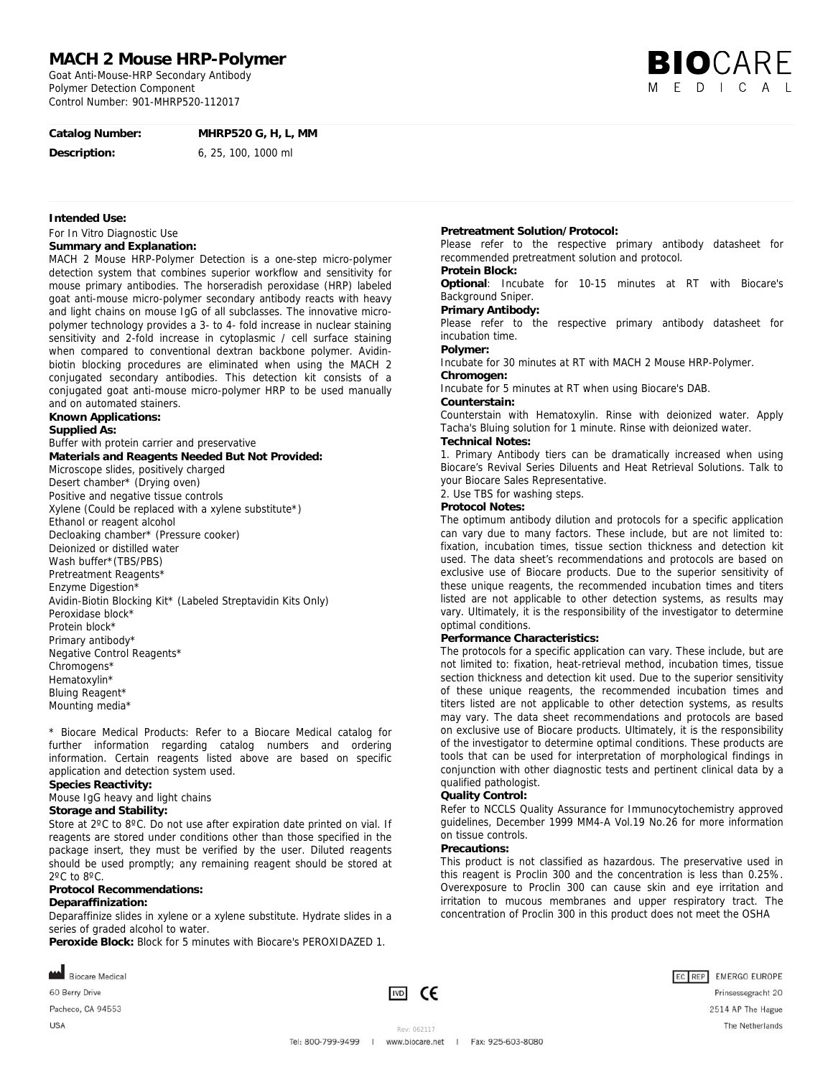# **MACH 2 Mouse HRP-Polymer**

Goat Anti-Mouse-HRP Secondary Antibody Polymer Detection Component Control Number: 901-MHRP520-112017



# **Catalog Number: MHRP520 G, H, L, MM**

**Description:** 6, 25, 100, 1000 ml

### **Intended Use:**

For In Vitro Diagnostic Use

# **Summary and Explanation:**

MACH 2 Mouse HRP-Polymer Detection is a one-step micro-polymer detection system that combines superior workflow and sensitivity for mouse primary antibodies. The horseradish peroxidase (HRP) labeled goat anti-mouse micro-polymer secondary antibody reacts with heavy and light chains on mouse IgG of all subclasses. The innovative micropolymer technology provides a 3- to 4- fold increase in nuclear staining sensitivity and 2-fold increase in cytoplasmic / cell surface staining when compared to conventional dextran backbone polymer. Avidinbiotin blocking procedures are eliminated when using the MACH 2 conjugated secondary antibodies. This detection kit consists of a conjugated goat anti-mouse micro-polymer HRP to be used manually and on automated stainers.

### **Known Applications:**

### **Supplied As:**

Buffer with protein carrier and preservative **Materials and Reagents Needed But Not Provided:**  Microscope slides, positively charged Desert chamber\* (Drying oven) Positive and negative tissue controls Xylene (Could be replaced with a xylene substitute\*) Ethanol or reagent alcohol Decloaking chamber\* (Pressure cooker) Deionized or distilled water Wash buffer\*(TBS/PBS) Pretreatment Reagents\* Enzyme Digestion\* Avidin-Biotin Blocking Kit\* (Labeled Streptavidin Kits Only) Peroxidase block\* Protein block\* Primary antibody\* Negative Control Reagents\* Chromogens\* Hematoxylin\* Bluing Reagent\* Mounting media\*

\* Biocare Medical Products: Refer to a Biocare Medical catalog for further information regarding catalog numbers and ordering information. Certain reagents listed above are based on specific application and detection system used.

## **Species Reactivity:**

Mouse IgG heavy and light chains

## **Storage and Stability:**

Store at 2°C to 8°C. Do not use after expiration date printed on vial. If reagents are stored under conditions other than those specified in the package insert, they must be verified by the user. Diluted reagents should be used promptly; any remaining reagent should be stored at 2ºC to 8ºC.

#### **Protocol Recommendations:**

### **Deparaffinization:**

Deparaffinize slides in xylene or a xylene substitute. Hydrate slides in a series of graded alcohol to water.

**Peroxide Block:** Block for 5 minutes with Biocare's PEROXIDAZED 1.



60 Berry Drive Pacheco, CA 94553 USA

**IVD** C€

**Pretreatment Solution/Protocol:** 

Please refer to the respective primary antibody datasheet for recommended pretreatment solution and protocol.

## **Protein Block:**

**Optional**: Incubate for 10-15 minutes at RT with Biocare's Background Sniper.

### **Primary Antibody:**

Please refer to the respective primary antibody datasheet for incubation time.

# **Polymer:**

Incubate for 30 minutes at RT with MACH 2 Mouse HRP-Polymer. **Chromogen:** 

Incubate for 5 minutes at RT when using Biocare's DAB.

#### **Counterstain:**

Counterstain with Hematoxylin. Rinse with deionized water. Apply Tacha's Bluing solution for 1 minute. Rinse with deionized water.

## **Technical Notes:**

1. Primary Antibody tiers can be dramatically increased when using Biocare's Revival Series Diluents and Heat Retrieval Solutions. Talk to your Biocare Sales Representative.

2. Use TBS for washing steps.

## **Protocol Notes:**

The optimum antibody dilution and protocols for a specific application can vary due to many factors. These include, but are not limited to: fixation, incubation times, tissue section thickness and detection kit used. The data sheet's recommendations and protocols are based on exclusive use of Biocare products. Due to the superior sensitivity of these unique reagents, the recommended incubation times and titers listed are not applicable to other detection systems, as results may vary. Ultimately, it is the responsibility of the investigator to determine optimal conditions.

#### **Performance Characteristics:**

The protocols for a specific application can vary. These include, but are not limited to: fixation, heat-retrieval method, incubation times, tissue section thickness and detection kit used. Due to the superior sensitivity of these unique reagents, the recommended incubation times and titers listed are not applicable to other detection systems, as results may vary. The data sheet recommendations and protocols are based on exclusive use of Biocare products. Ultimately, it is the responsibility of the investigator to determine optimal conditions. These products are tools that can be used for interpretation of morphological findings in conjunction with other diagnostic tests and pertinent clinical data by a qualified pathologist.

#### **Quality Control:**

Refer to NCCLS Quality Assurance for Immunocytochemistry approved guidelines, December 1999 MM4-A Vol.19 No.26 for more information on tissue controls.

### **Precautions:**

This product is not classified as hazardous. The preservative used in this reagent is Proclin 300 and the concentration is less than 0.25%. Overexposure to Proclin 300 can cause skin and eye irritation and irritation to mucous membranes and upper respiratory tract. The concentration of Proclin 300 in this product does not meet the OSHA



Prinsessegracht 20 2514 AP The Hague The Netherlands